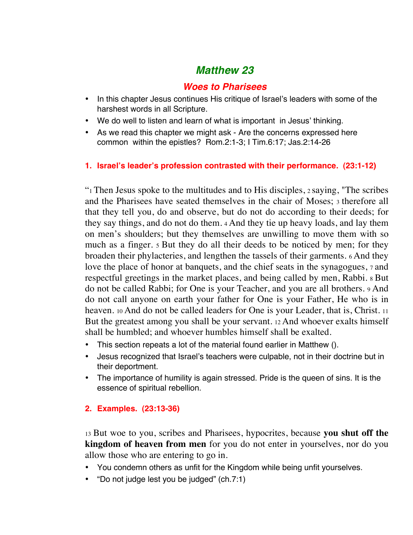# *Matthew 23*

## *Woes to Pharisees*

- In this chapter Jesus continues His critique of Israel's leaders with some of the harshest words in all Scripture.
- We do well to listen and learn of what is important in Jesus' thinking.
- As we read this chapter we might ask Are the concerns expressed here common within the epistles? Rom.2:1-3; I Tim.6:17; Jas.2:14-26

#### **1. Israel's leader's profession contrasted with their performance. (23:1-12)**

"1 Then Jesus spoke to the multitudes and to His disciples, 2 saying, "The scribes and the Pharisees have seated themselves in the chair of Moses; 3 therefore all that they tell you, do and observe, but do not do according to their deeds; for they say things, and do not do them. 4 And they tie up heavy loads, and lay them on men's shoulders; but they themselves are unwilling to move them with so much as a finger. 5 But they do all their deeds to be noticed by men; for they broaden their phylacteries, and lengthen the tassels of their garments. 6 And they love the place of honor at banquets, and the chief seats in the synagogues, 7 and respectful greetings in the market places, and being called by men, Rabbi. 8 But do not be called Rabbi; for One is your Teacher, and you are all brothers. 9 And do not call anyone on earth your father for One is your Father, He who is in heaven. 10 And do not be called leaders for One is your Leader, that is, Christ. 11 But the greatest among you shall be your servant. 12 And whoever exalts himself shall be humbled; and whoever humbles himself shall be exalted.

- This section repeats a lot of the material found earlier in Matthew ().
- Jesus recognized that Israel's teachers were culpable, not in their doctrine but in their deportment.
- The importance of humility is again stressed. Pride is the queen of sins. It is the essence of spiritual rebellion.

### **2. Examples. (23:13-36)**

13 But woe to you, scribes and Pharisees, hypocrites, because **you shut off the kingdom of heaven from men** for you do not enter in yourselves, nor do you allow those who are entering to go in.

- You condemn others as unfit for the Kingdom while being unfit yourselves.
- "Do not judge lest you be judged" (ch.7:1)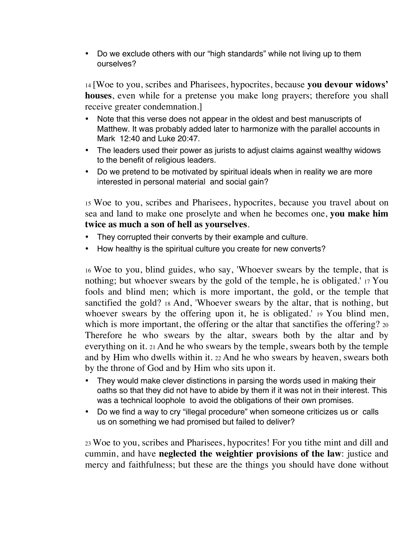• Do we exclude others with our "high standards" while not living up to them ourselves?

14 [Woe to you, scribes and Pharisees, hypocrites, because **you devour widows' houses**, even while for a pretense you make long prayers; therefore you shall receive greater condemnation.]

- Note that this verse does not appear in the oldest and best manuscripts of Matthew. It was probably added later to harmonize with the parallel accounts in Mark 12:40 and Luke 20:47.
- The leaders used their power as jurists to adjust claims against wealthy widows to the benefit of religious leaders.
- Do we pretend to be motivated by spiritual ideals when in reality we are more interested in personal material and social gain?

15 Woe to you, scribes and Pharisees, hypocrites, because you travel about on sea and land to make one proselyte and when he becomes one, **you make him twice as much a son of hell as yourselves**.

- They corrupted their converts by their example and culture.
- How healthy is the spiritual culture you create for new converts?

16 Woe to you, blind guides, who say, 'Whoever swears by the temple, that is nothing; but whoever swears by the gold of the temple, he is obligated.' 17 You fools and blind men; which is more important, the gold, or the temple that sanctified the gold? 18 And, 'Whoever swears by the altar, that is nothing, but whoever swears by the offering upon it, he is obligated.' 19 You blind men, which is more important, the offering or the altar that sanctifies the offering? 20 Therefore he who swears by the altar, swears both by the altar and by everything on it. 21 And he who swears by the temple, swears both by the temple and by Him who dwells within it. 22 And he who swears by heaven, swears both by the throne of God and by Him who sits upon it.

- They would make clever distinctions in parsing the words used in making their oaths so that they did not have to abide by them if it was not in their interest. This was a technical loophole to avoid the obligations of their own promises.
- Do we find a way to cry "illegal procedure" when someone criticizes us or calls us on something we had promised but failed to deliver?

23 Woe to you, scribes and Pharisees, hypocrites! For you tithe mint and dill and cummin, and have **neglected the weightier provisions of the law**: justice and mercy and faithfulness; but these are the things you should have done without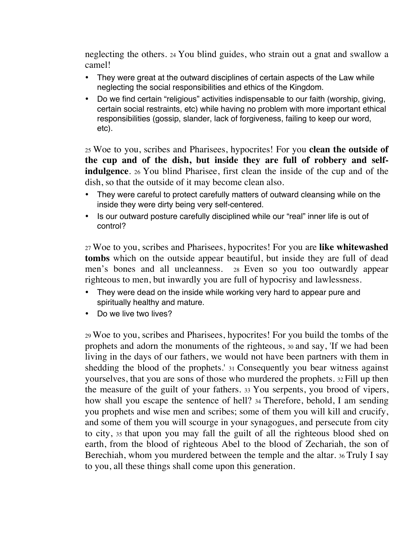neglecting the others. 24 You blind guides, who strain out a gnat and swallow a camel!

- They were great at the outward disciplines of certain aspects of the Law while neglecting the social responsibilities and ethics of the Kingdom.
- Do we find certain "religious" activities indispensable to our faith (worship, giving, certain social restraints, etc) while having no problem with more important ethical responsibilities (gossip, slander, lack of forgiveness, failing to keep our word, etc).

25 Woe to you, scribes and Pharisees, hypocrites! For you **clean the outside of the cup and of the dish, but inside they are full of robbery and selfindulgence**. 26 You blind Pharisee, first clean the inside of the cup and of the dish, so that the outside of it may become clean also.

- They were careful to protect carefully matters of outward cleansing while on the inside they were dirty being very self-centered.
- Is our outward posture carefully disciplined while our "real" inner life is out of control?

27 Woe to you, scribes and Pharisees, hypocrites! For you are **like whitewashed tombs** which on the outside appear beautiful, but inside they are full of dead men's bones and all uncleanness. 28 Even so you too outwardly appear righteous to men, but inwardly you are full of hypocrisy and lawlessness.

- They were dead on the inside while working very hard to appear pure and spiritually healthy and mature.
- Do we live two lives?

29 Woe to you, scribes and Pharisees, hypocrites! For you build the tombs of the prophets and adorn the monuments of the righteous, 30 and say, 'If we had been living in the days of our fathers, we would not have been partners with them in shedding the blood of the prophets.' 31 Consequently you bear witness against yourselves, that you are sons of those who murdered the prophets. 32 Fill up then the measure of the guilt of your fathers. 33 You serpents, you brood of vipers, how shall you escape the sentence of hell? 34 Therefore, behold, I am sending you prophets and wise men and scribes; some of them you will kill and crucify, and some of them you will scourge in your synagogues, and persecute from city to city, 35 that upon you may fall the guilt of all the righteous blood shed on earth, from the blood of righteous Abel to the blood of Zechariah, the son of Berechiah, whom you murdered between the temple and the altar. 36 Truly I say to you, all these things shall come upon this generation.